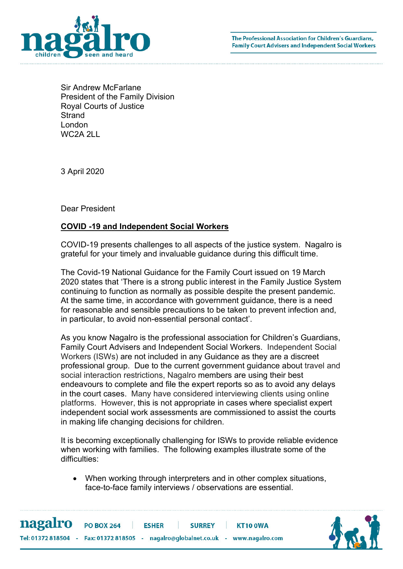

Sir Andrew McFarlane President of the Family Division Royal Courts of Justice **Strand** London WC2A 2LL

3 April 2020

Dear President

## COVID -19 and Independent Social Workers

COVID-19 presents challenges to all aspects of the justice system. Nagalro is grateful for your timely and invaluable guidance during this difficult time.

The Covid-19 National Guidance for the Family Court issued on 19 March 2020 states that 'There is a strong public interest in the Family Justice System continuing to function as normally as possible despite the present pandemic. At the same time, in accordance with government guidance, there is a need for reasonable and sensible precautions to be taken to prevent infection and, in particular, to avoid non-essential personal contact'.

As you know Nagalro is the professional association for Children's Guardians, Family Court Advisers and Independent Social Workers. Independent Social Workers (ISWs) are not included in any Guidance as they are a discreet professional group. Due to the current government guidance about travel and social interaction restrictions, Nagalro members are using their best endeavours to complete and file the expert reports so as to avoid any delays in the court cases. Many have considered interviewing clients using online platforms. However, this is not appropriate in cases where specialist expert independent social work assessments are commissioned to assist the courts in making life changing decisions for children.

It is becoming exceptionally challenging for ISWs to provide reliable evidence when working with families. The following examples illustrate some of the difficulties:

 When working through interpreters and in other complex situations, face-to-face family interviews / observations are essential.



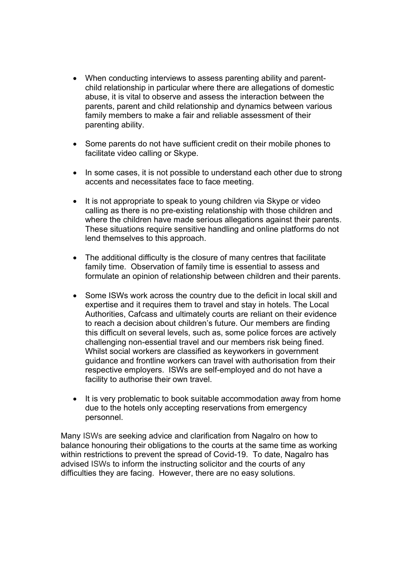- When conducting interviews to assess parenting ability and parentchild relationship in particular where there are allegations of domestic abuse, it is vital to observe and assess the interaction between the parents, parent and child relationship and dynamics between various family members to make a fair and reliable assessment of their parenting ability.
- Some parents do not have sufficient credit on their mobile phones to facilitate video calling or Skype.
- In some cases, it is not possible to understand each other due to strong accents and necessitates face to face meeting.
- It is not appropriate to speak to young children via Skype or video calling as there is no pre-existing relationship with those children and where the children have made serious allegations against their parents. These situations require sensitive handling and online platforms do not lend themselves to this approach.
- The additional difficulty is the closure of many centres that facilitate family time. Observation of family time is essential to assess and formulate an opinion of relationship between children and their parents.
- Some ISWs work across the country due to the deficit in local skill and expertise and it requires them to travel and stay in hotels. The Local Authorities, Cafcass and ultimately courts are reliant on their evidence to reach a decision about children's future. Our members are finding this difficult on several levels, such as, some police forces are actively challenging non-essential travel and our members risk being fined. Whilst social workers are classified as keyworkers in government guidance and frontline workers can travel with authorisation from their respective employers. ISWs are self-employed and do not have a facility to authorise their own travel.
- It is very problematic to book suitable accommodation away from home due to the hotels only accepting reservations from emergency personnel.

Many ISWs are seeking advice and clarification from Nagalro on how to balance honouring their obligations to the courts at the same time as working within restrictions to prevent the spread of Covid-19. To date, Nagalro has advised ISWs to inform the instructing solicitor and the courts of any difficulties they are facing. However, there are no easy solutions.